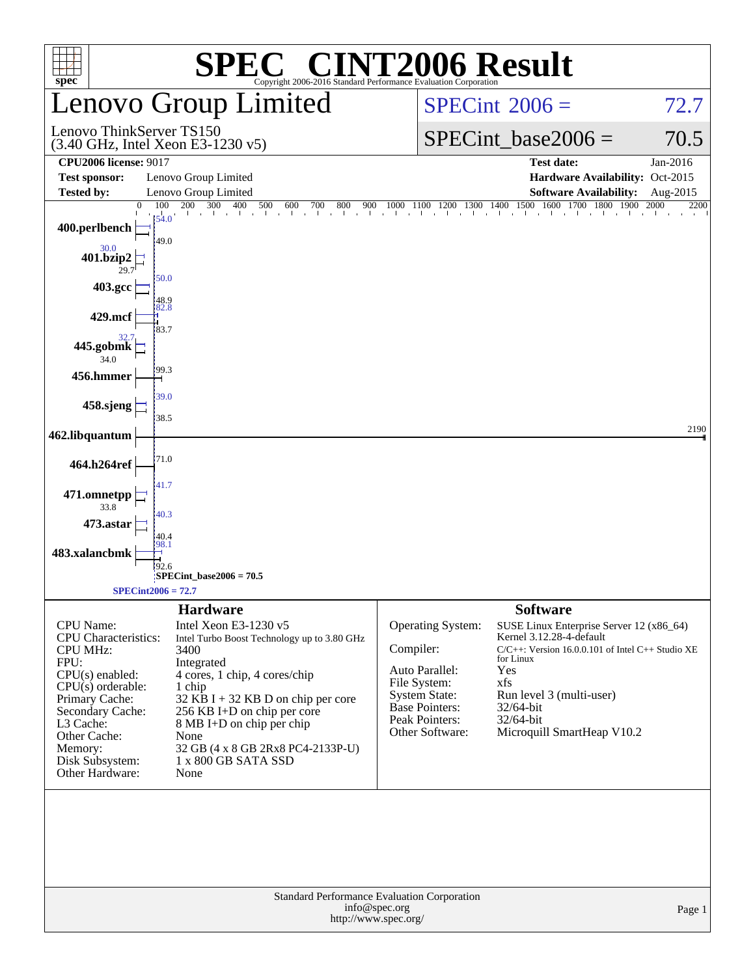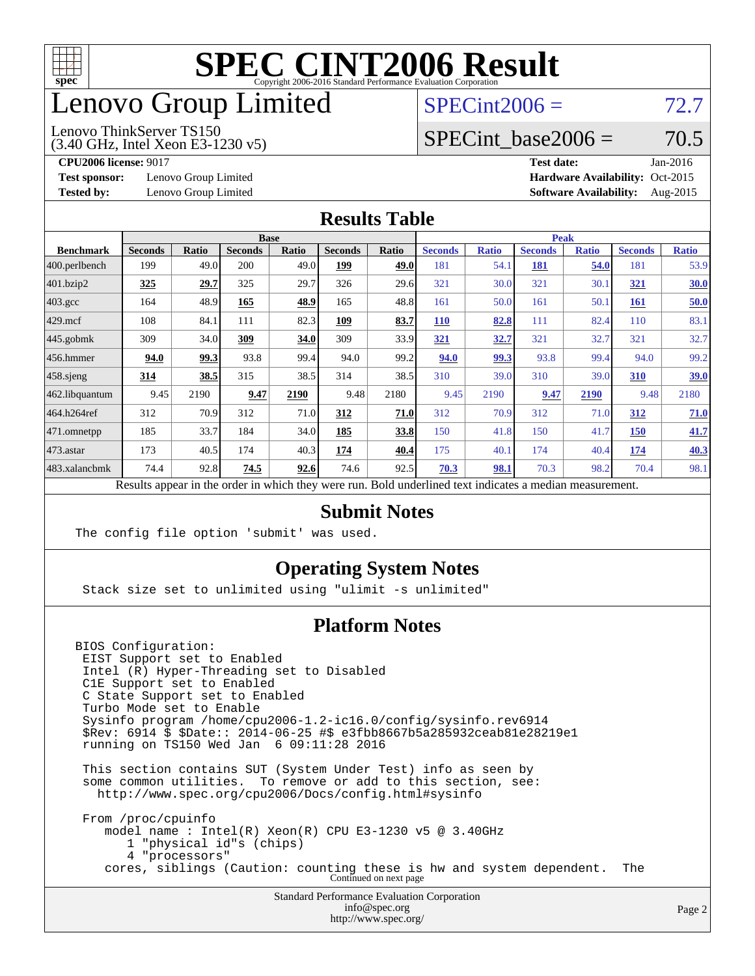

## enovo Group Limited

## $SPECint2006 = 72.7$  $SPECint2006 = 72.7$

(3.40 GHz, Intel Xeon E3-1230 v5) Lenovo ThinkServer TS150

SPECint base2006 =  $70.5$ 

**[Test sponsor:](http://www.spec.org/auto/cpu2006/Docs/result-fields.html#Testsponsor)** Lenovo Group Limited **[Hardware Availability:](http://www.spec.org/auto/cpu2006/Docs/result-fields.html#HardwareAvailability)** Oct-2015

**[CPU2006 license:](http://www.spec.org/auto/cpu2006/Docs/result-fields.html#CPU2006license)** 9017 **[Test date:](http://www.spec.org/auto/cpu2006/Docs/result-fields.html#Testdate)** Jan-2016 **[Tested by:](http://www.spec.org/auto/cpu2006/Docs/result-fields.html#Testedby)** Lenovo Group Limited **[Software Availability:](http://www.spec.org/auto/cpu2006/Docs/result-fields.html#SoftwareAvailability)** Aug-2015

#### **[Results Table](http://www.spec.org/auto/cpu2006/Docs/result-fields.html#ResultsTable)**

|                                                                                                          |                |              | <b>Base</b>    |              |                |       | <b>Peak</b>    |              |                |              |                |              |
|----------------------------------------------------------------------------------------------------------|----------------|--------------|----------------|--------------|----------------|-------|----------------|--------------|----------------|--------------|----------------|--------------|
| <b>Benchmark</b>                                                                                         | <b>Seconds</b> | <b>Ratio</b> | <b>Seconds</b> | <b>Ratio</b> | <b>Seconds</b> | Ratio | <b>Seconds</b> | <b>Ratio</b> | <b>Seconds</b> | <b>Ratio</b> | <b>Seconds</b> | <b>Ratio</b> |
| 400.perlbench                                                                                            | 199            | 49.0         | 200            | 49.0         | 199            | 49.0  | 181            | 54.1         | 181            | 54.0         | 181            | 53.9         |
| $401$ .bzip2                                                                                             | 325            | 29.7         | 325            | 29.7         | 326            | 29.6  | 321            | 30.0         | 321            | 30.1         | <u>321</u>     | <u>30.0</u>  |
| $403.\text{gcc}$                                                                                         | 164            | 48.9         | 165            | 48.9         | 165            | 48.8  | 161            | 50.0         | 161            | 50.1         | <b>161</b>     | 50.0         |
| $429$ mcf                                                                                                | 108            | 84.1         | 111            | 82.3         | 109            | 83.7  | <b>110</b>     | 82.8         | 111            | 82.4         | 110            | 83.1         |
| $445$ .gobmk                                                                                             | 309            | 34.0         | 309            | 34.0         | 309            | 33.9  | 321            | 32.7         | 321            | 32.7         | 321            | 32.7         |
| $456.$ hmmer                                                                                             | 94.0           | 99.3         | 93.8           | 99.4         | 94.0           | 99.2  | 94.0           | 99.3         | 93.8           | 99.4         | 94.0           | 99.2         |
| $458$ .sjeng                                                                                             | 314            | 38.5         | 315            | 38.5         | 314            | 38.5  | 310            | 39.0         | 310            | 39.0         | 310            | <u>39.0</u>  |
| 462.libquantum                                                                                           | 9.45           | 2190         | 9.47           | 2190         | 9.48           | 2180  | 9.45           | 2190         | 9.47           | 2190         | 9.48           | 2180         |
| 464.h264ref                                                                                              | 312            | 70.9         | 312            | 71.0         | 312            | 71.0  | 312            | 70.9         | 312            | 71.0         | 312            | 71.0         |
| 471.omnetpp                                                                                              | 185            | 33.7         | 184            | 34.0         | 185            | 33.8  | 150            | 41.8         | 150            | 41.7         | <b>150</b>     | 41.7         |
| $473$ . astar                                                                                            | 173            | 40.5         | 174            | 40.3         | 174            | 40.4  | 175            | 40.1         | 174            | 40.4         | 174            | 40.3         |
| 483.xalancbmk                                                                                            | 74.4           | 92.8         | 74.5           | 92.6         | 74.6           | 92.5  | 70.3           | 98.1         | 70.3           | 98.2         | 70.4           | 98.1         |
| Results appear in the order in which they were run. Bold underlined text indicates a median measurement. |                |              |                |              |                |       |                |              |                |              |                |              |

#### **[Submit Notes](http://www.spec.org/auto/cpu2006/Docs/result-fields.html#SubmitNotes)**

The config file option 'submit' was used.

#### **[Operating System Notes](http://www.spec.org/auto/cpu2006/Docs/result-fields.html#OperatingSystemNotes)**

Stack size set to unlimited using "ulimit -s unlimited"

#### **[Platform Notes](http://www.spec.org/auto/cpu2006/Docs/result-fields.html#PlatformNotes)**

BIOS Configuration: EIST Support set to Enabled Intel (R) Hyper-Threading set to Disabled C1E Support set to Enabled C State Support set to Enabled Turbo Mode set to Enable Sysinfo program /home/cpu2006-1.2-ic16.0/config/sysinfo.rev6914 \$Rev: 6914 \$ \$Date:: 2014-06-25 #\$ e3fbb8667b5a285932ceab81e28219e1 running on TS150 Wed Jan 6 09:11:28 2016

 This section contains SUT (System Under Test) info as seen by some common utilities. To remove or add to this section, see: <http://www.spec.org/cpu2006/Docs/config.html#sysinfo>

 From /proc/cpuinfo model name : Intel(R) Xeon(R) CPU E3-1230 v5 @ 3.40GHz 1 "physical id"s (chips) 4 "processors" cores, siblings (Caution: counting these is hw and system dependent. The Continued on next page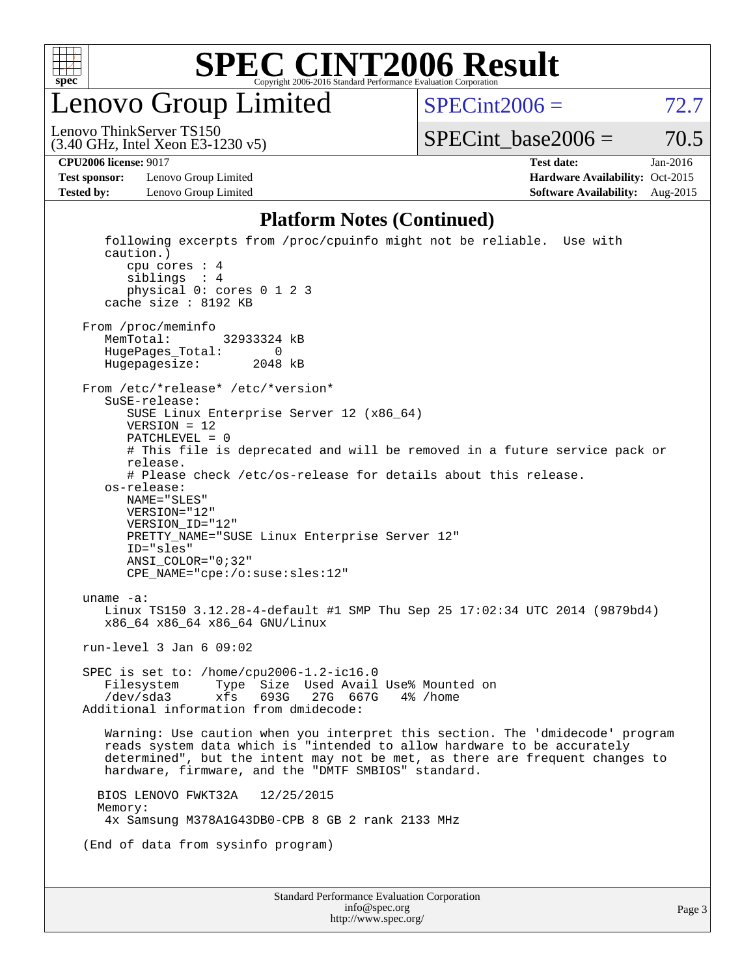

Lenovo Group Limited

 $SPECTnt2006 = 72.7$ 

(3.40 GHz, Intel Xeon E3-1230 v5) Lenovo ThinkServer TS150

 $SPECTnt\_base2006 = 70.5$ 

**[Test sponsor:](http://www.spec.org/auto/cpu2006/Docs/result-fields.html#Testsponsor)** Lenovo Group Limited **[Hardware Availability:](http://www.spec.org/auto/cpu2006/Docs/result-fields.html#HardwareAvailability)** Oct-2015

**[CPU2006 license:](http://www.spec.org/auto/cpu2006/Docs/result-fields.html#CPU2006license)** 9017 **[Test date:](http://www.spec.org/auto/cpu2006/Docs/result-fields.html#Testdate)** Jan-2016 **[Tested by:](http://www.spec.org/auto/cpu2006/Docs/result-fields.html#Testedby)** Lenovo Group Limited **[Software Availability:](http://www.spec.org/auto/cpu2006/Docs/result-fields.html#SoftwareAvailability)** Aug-2015

#### **[Platform Notes \(Continued\)](http://www.spec.org/auto/cpu2006/Docs/result-fields.html#PlatformNotes)**

| following excerpts from /proc/cpuinfo might not be reliable. Use with<br>caution.)<br>cpu cores $: 4$<br>siblings : 4<br>physical 0: cores 0 1 2 3<br>cache size : 8192 KB                                                                                                                                                                                                                                                                                                                      |
|-------------------------------------------------------------------------------------------------------------------------------------------------------------------------------------------------------------------------------------------------------------------------------------------------------------------------------------------------------------------------------------------------------------------------------------------------------------------------------------------------|
| From /proc/meminfo<br>MemTotal:<br>32933324 KB<br>HugePages_Total:<br>0<br>Hugepagesize:<br>2048 kB                                                                                                                                                                                                                                                                                                                                                                                             |
| From /etc/*release* /etc/*version*<br>$S$ uSE-release:<br>SUSE Linux Enterprise Server 12 (x86_64)<br>$VERSION = 12$<br>$PATCHLEVEL = 0$<br># This file is deprecated and will be removed in a future service pack or<br>release.<br># Please check /etc/os-release for details about this release.<br>os-release:<br>NAME="SLES"<br>VERSION="12"<br>VERSION_ID="12"<br>PRETTY_NAME="SUSE Linux Enterprise Server 12"<br>ID="sles"<br>$ANSI\_COLOR = "0; 32"$<br>CPE_NAME="cpe:/o:suse:sles:12" |
| uname $-a$ :<br>Linux TS150 3.12.28-4-default #1 SMP Thu Sep 25 17:02:34 UTC 2014 (9879bd4)<br>x86_64 x86_64 x86_64 GNU/Linux                                                                                                                                                                                                                                                                                                                                                                   |
| run-level $3$ Jan $6$ 09:02                                                                                                                                                                                                                                                                                                                                                                                                                                                                     |
| SPEC is set to: /home/cpu2006-1.2-ic16.0<br>Type Size Used Avail Use% Mounted on<br>Filesystem<br>/dev/sda3<br>693G<br>27G 667G<br>xfs<br>4% /home<br>Additional information from dmidecode:                                                                                                                                                                                                                                                                                                    |
| Warning: Use caution when you interpret this section. The 'dmidecode' program<br>reads system data which is "intended to allow hardware to be accurately<br>determined", but the intent may not be met, as there are frequent changes to<br>hardware, firmware, and the "DMTF SMBIOS" standard.                                                                                                                                                                                                 |
| 12/25/2015<br>BIOS LENOVO FWKT32A<br>Memory:<br>4x Samsung M378A1G43DB0-CPB 8 GB 2 rank 2133 MHz                                                                                                                                                                                                                                                                                                                                                                                                |
| (End of data from sysinfo program)                                                                                                                                                                                                                                                                                                                                                                                                                                                              |
| Standard Performance Evaluation Corporation<br>info@spec.org                                                                                                                                                                                                                                                                                                                                                                                                                                    |

<http://www.spec.org/>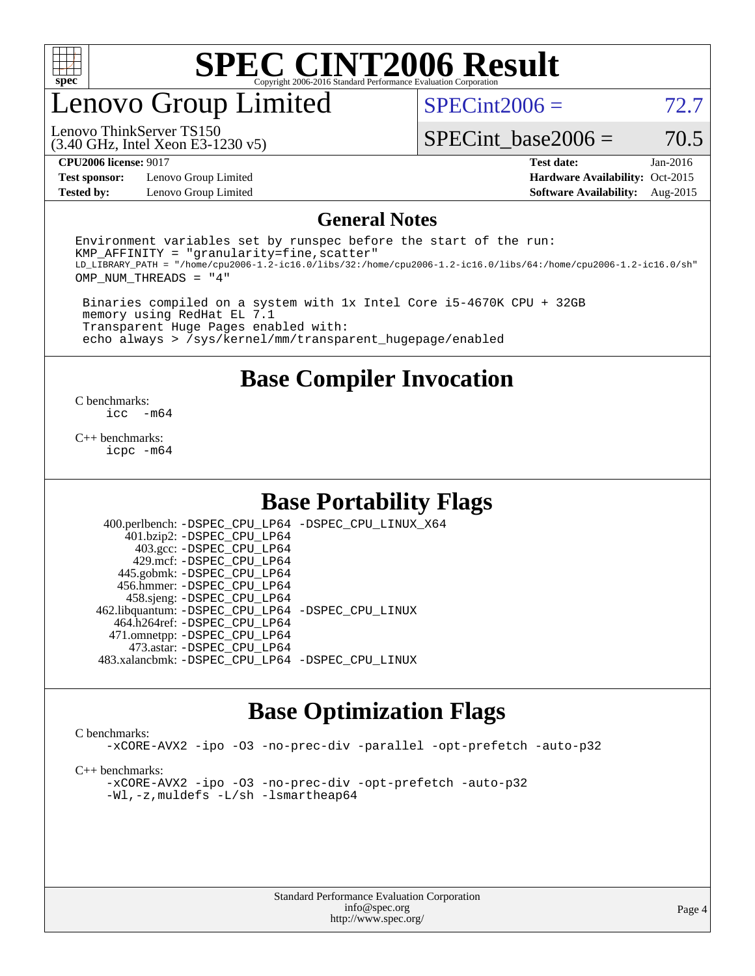

## enovo Group Limited

 $SPECint2006 = 72.7$  $SPECint2006 = 72.7$ 

(3.40 GHz, Intel Xeon E3-1230 v5) Lenovo ThinkServer TS150

SPECint base2006 =  $70.5$ 

**[Test sponsor:](http://www.spec.org/auto/cpu2006/Docs/result-fields.html#Testsponsor)** Lenovo Group Limited **[Hardware Availability:](http://www.spec.org/auto/cpu2006/Docs/result-fields.html#HardwareAvailability)** Oct-2015

**[CPU2006 license:](http://www.spec.org/auto/cpu2006/Docs/result-fields.html#CPU2006license)** 9017 **[Test date:](http://www.spec.org/auto/cpu2006/Docs/result-fields.html#Testdate)** Jan-2016 **[Tested by:](http://www.spec.org/auto/cpu2006/Docs/result-fields.html#Testedby)** Lenovo Group Limited **[Software Availability:](http://www.spec.org/auto/cpu2006/Docs/result-fields.html#SoftwareAvailability)** Aug-2015

#### **[General Notes](http://www.spec.org/auto/cpu2006/Docs/result-fields.html#GeneralNotes)**

Environment variables set by runspec before the start of the run:  $KMP$  AFFINITY = "granularity=fine, scatter" LD\_LIBRARY\_PATH = "/home/cpu2006-1.2-ic16.0/libs/32:/home/cpu2006-1.2-ic16.0/libs/64:/home/cpu2006-1.2-ic16.0/sh" OMP\_NUM\_THREADS = "4"

 Binaries compiled on a system with 1x Intel Core i5-4670K CPU + 32GB memory using RedHat EL 7.1 Transparent Huge Pages enabled with: echo always > /sys/kernel/mm/transparent\_hugepage/enabled

**[Base Compiler Invocation](http://www.spec.org/auto/cpu2006/Docs/result-fields.html#BaseCompilerInvocation)**

 $\frac{C \text{ benchmarks:}}{C \text{ C}}$ -m64

[C++ benchmarks:](http://www.spec.org/auto/cpu2006/Docs/result-fields.html#CXXbenchmarks) [icpc -m64](http://www.spec.org/cpu2006/results/res2016q1/cpu2006-20160125-38853.flags.html#user_CXXbase_intel_icpc_64bit_fc66a5337ce925472a5c54ad6a0de310)

#### **[Base Portability Flags](http://www.spec.org/auto/cpu2006/Docs/result-fields.html#BasePortabilityFlags)**

 400.perlbench: [-DSPEC\\_CPU\\_LP64](http://www.spec.org/cpu2006/results/res2016q1/cpu2006-20160125-38853.flags.html#b400.perlbench_basePORTABILITY_DSPEC_CPU_LP64) [-DSPEC\\_CPU\\_LINUX\\_X64](http://www.spec.org/cpu2006/results/res2016q1/cpu2006-20160125-38853.flags.html#b400.perlbench_baseCPORTABILITY_DSPEC_CPU_LINUX_X64) 401.bzip2: [-DSPEC\\_CPU\\_LP64](http://www.spec.org/cpu2006/results/res2016q1/cpu2006-20160125-38853.flags.html#suite_basePORTABILITY401_bzip2_DSPEC_CPU_LP64) 403.gcc: [-DSPEC\\_CPU\\_LP64](http://www.spec.org/cpu2006/results/res2016q1/cpu2006-20160125-38853.flags.html#suite_basePORTABILITY403_gcc_DSPEC_CPU_LP64) 429.mcf: [-DSPEC\\_CPU\\_LP64](http://www.spec.org/cpu2006/results/res2016q1/cpu2006-20160125-38853.flags.html#suite_basePORTABILITY429_mcf_DSPEC_CPU_LP64) 445.gobmk: [-DSPEC\\_CPU\\_LP64](http://www.spec.org/cpu2006/results/res2016q1/cpu2006-20160125-38853.flags.html#suite_basePORTABILITY445_gobmk_DSPEC_CPU_LP64) 456.hmmer: [-DSPEC\\_CPU\\_LP64](http://www.spec.org/cpu2006/results/res2016q1/cpu2006-20160125-38853.flags.html#suite_basePORTABILITY456_hmmer_DSPEC_CPU_LP64) 458.sjeng: [-DSPEC\\_CPU\\_LP64](http://www.spec.org/cpu2006/results/res2016q1/cpu2006-20160125-38853.flags.html#suite_basePORTABILITY458_sjeng_DSPEC_CPU_LP64) 462.libquantum: [-DSPEC\\_CPU\\_LP64](http://www.spec.org/cpu2006/results/res2016q1/cpu2006-20160125-38853.flags.html#suite_basePORTABILITY462_libquantum_DSPEC_CPU_LP64) [-DSPEC\\_CPU\\_LINUX](http://www.spec.org/cpu2006/results/res2016q1/cpu2006-20160125-38853.flags.html#b462.libquantum_baseCPORTABILITY_DSPEC_CPU_LINUX) 464.h264ref: [-DSPEC\\_CPU\\_LP64](http://www.spec.org/cpu2006/results/res2016q1/cpu2006-20160125-38853.flags.html#suite_basePORTABILITY464_h264ref_DSPEC_CPU_LP64) 471.omnetpp: [-DSPEC\\_CPU\\_LP64](http://www.spec.org/cpu2006/results/res2016q1/cpu2006-20160125-38853.flags.html#suite_basePORTABILITY471_omnetpp_DSPEC_CPU_LP64) 473.astar: [-DSPEC\\_CPU\\_LP64](http://www.spec.org/cpu2006/results/res2016q1/cpu2006-20160125-38853.flags.html#suite_basePORTABILITY473_astar_DSPEC_CPU_LP64) 483.xalancbmk: [-DSPEC\\_CPU\\_LP64](http://www.spec.org/cpu2006/results/res2016q1/cpu2006-20160125-38853.flags.html#suite_basePORTABILITY483_xalancbmk_DSPEC_CPU_LP64) [-DSPEC\\_CPU\\_LINUX](http://www.spec.org/cpu2006/results/res2016q1/cpu2006-20160125-38853.flags.html#b483.xalancbmk_baseCXXPORTABILITY_DSPEC_CPU_LINUX)

## **[Base Optimization Flags](http://www.spec.org/auto/cpu2006/Docs/result-fields.html#BaseOptimizationFlags)**

[C benchmarks](http://www.spec.org/auto/cpu2006/Docs/result-fields.html#Cbenchmarks):

[-xCORE-AVX2](http://www.spec.org/cpu2006/results/res2016q1/cpu2006-20160125-38853.flags.html#user_CCbase_f-xAVX2_5f5fc0cbe2c9f62c816d3e45806c70d7) [-ipo](http://www.spec.org/cpu2006/results/res2016q1/cpu2006-20160125-38853.flags.html#user_CCbase_f-ipo) [-O3](http://www.spec.org/cpu2006/results/res2016q1/cpu2006-20160125-38853.flags.html#user_CCbase_f-O3) [-no-prec-div](http://www.spec.org/cpu2006/results/res2016q1/cpu2006-20160125-38853.flags.html#user_CCbase_f-no-prec-div) [-parallel](http://www.spec.org/cpu2006/results/res2016q1/cpu2006-20160125-38853.flags.html#user_CCbase_f-parallel) [-opt-prefetch](http://www.spec.org/cpu2006/results/res2016q1/cpu2006-20160125-38853.flags.html#user_CCbase_f-opt-prefetch) [-auto-p32](http://www.spec.org/cpu2006/results/res2016q1/cpu2006-20160125-38853.flags.html#user_CCbase_f-auto-p32)

[C++ benchmarks:](http://www.spec.org/auto/cpu2006/Docs/result-fields.html#CXXbenchmarks)

[-xCORE-AVX2](http://www.spec.org/cpu2006/results/res2016q1/cpu2006-20160125-38853.flags.html#user_CXXbase_f-xAVX2_5f5fc0cbe2c9f62c816d3e45806c70d7) [-ipo](http://www.spec.org/cpu2006/results/res2016q1/cpu2006-20160125-38853.flags.html#user_CXXbase_f-ipo) [-O3](http://www.spec.org/cpu2006/results/res2016q1/cpu2006-20160125-38853.flags.html#user_CXXbase_f-O3) [-no-prec-div](http://www.spec.org/cpu2006/results/res2016q1/cpu2006-20160125-38853.flags.html#user_CXXbase_f-no-prec-div) [-opt-prefetch](http://www.spec.org/cpu2006/results/res2016q1/cpu2006-20160125-38853.flags.html#user_CXXbase_f-opt-prefetch) [-auto-p32](http://www.spec.org/cpu2006/results/res2016q1/cpu2006-20160125-38853.flags.html#user_CXXbase_f-auto-p32) [-Wl,-z,muldefs](http://www.spec.org/cpu2006/results/res2016q1/cpu2006-20160125-38853.flags.html#user_CXXbase_link_force_multiple1_74079c344b956b9658436fd1b6dd3a8a) [-L/sh -lsmartheap64](http://www.spec.org/cpu2006/results/res2016q1/cpu2006-20160125-38853.flags.html#user_CXXbase_SmartHeap64_ed4ef857ce90951921efb0d91eb88472)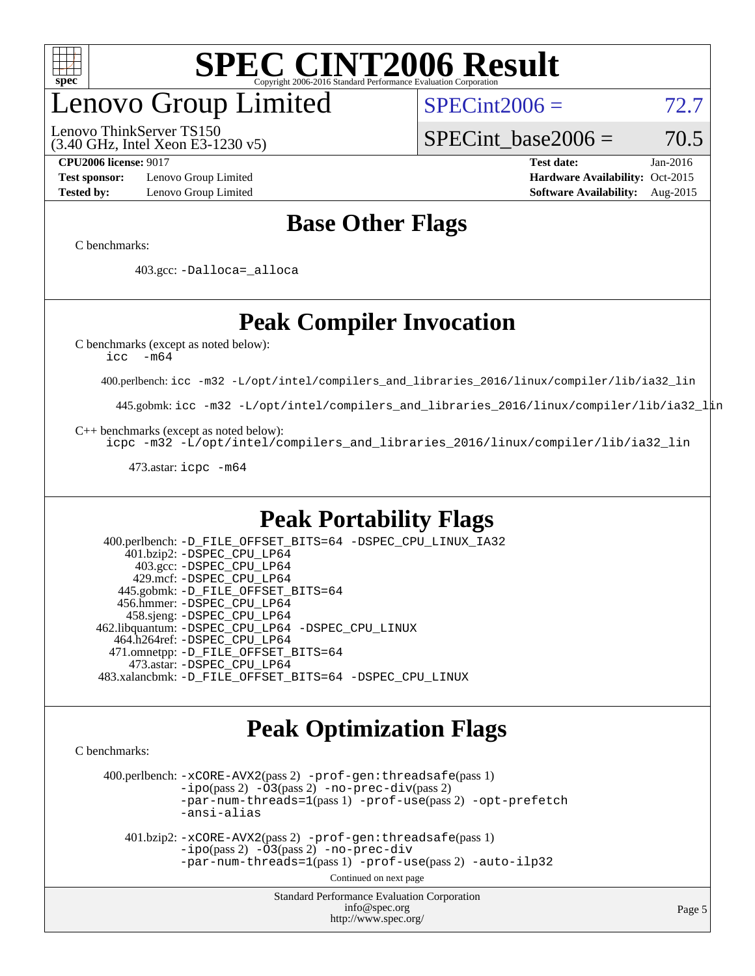

## enovo Group Limited

(3.40 GHz, Intel Xeon E3-1230 v5) Lenovo ThinkServer TS150

 $SPECint2006 = 72.7$  $SPECint2006 = 72.7$ 

SPECint base2006 =  $70.5$ 

**[Test sponsor:](http://www.spec.org/auto/cpu2006/Docs/result-fields.html#Testsponsor)** Lenovo Group Limited **[Hardware Availability:](http://www.spec.org/auto/cpu2006/Docs/result-fields.html#HardwareAvailability)** Oct-2015

**[CPU2006 license:](http://www.spec.org/auto/cpu2006/Docs/result-fields.html#CPU2006license)** 9017 **[Test date:](http://www.spec.org/auto/cpu2006/Docs/result-fields.html#Testdate)** Jan-2016 **[Tested by:](http://www.spec.org/auto/cpu2006/Docs/result-fields.html#Testedby)** Lenovo Group Limited **[Software Availability:](http://www.spec.org/auto/cpu2006/Docs/result-fields.html#SoftwareAvailability)** Aug-2015

## **[Base Other Flags](http://www.spec.org/auto/cpu2006/Docs/result-fields.html#BaseOtherFlags)**

[C benchmarks](http://www.spec.org/auto/cpu2006/Docs/result-fields.html#Cbenchmarks):

403.gcc: [-Dalloca=\\_alloca](http://www.spec.org/cpu2006/results/res2016q1/cpu2006-20160125-38853.flags.html#b403.gcc_baseEXTRA_CFLAGS_Dalloca_be3056838c12de2578596ca5467af7f3)

## **[Peak Compiler Invocation](http://www.spec.org/auto/cpu2006/Docs/result-fields.html#PeakCompilerInvocation)**

[C benchmarks \(except as noted below\)](http://www.spec.org/auto/cpu2006/Docs/result-fields.html#Cbenchmarksexceptasnotedbelow):

[icc -m64](http://www.spec.org/cpu2006/results/res2016q1/cpu2006-20160125-38853.flags.html#user_CCpeak_intel_icc_64bit_f346026e86af2a669e726fe758c88044)

400.perlbench: [icc -m32 -L/opt/intel/compilers\\_and\\_libraries\\_2016/linux/compiler/lib/ia32\\_lin](http://www.spec.org/cpu2006/results/res2016q1/cpu2006-20160125-38853.flags.html#user_peakCCLD400_perlbench_intel_icc_e10256ba5924b668798078a321b0cb3f)

445.gobmk: [icc -m32 -L/opt/intel/compilers\\_and\\_libraries\\_2016/linux/compiler/lib/ia32\\_lin](http://www.spec.org/cpu2006/results/res2016q1/cpu2006-20160125-38853.flags.html#user_peakCCLD445_gobmk_intel_icc_e10256ba5924b668798078a321b0cb3f)

[C++ benchmarks \(except as noted below\):](http://www.spec.org/auto/cpu2006/Docs/result-fields.html#CXXbenchmarksexceptasnotedbelow)

[icpc -m32 -L/opt/intel/compilers\\_and\\_libraries\\_2016/linux/compiler/lib/ia32\\_lin](http://www.spec.org/cpu2006/results/res2016q1/cpu2006-20160125-38853.flags.html#user_CXXpeak_intel_icpc_b4f50a394bdb4597aa5879c16bc3f5c5)

473.astar: [icpc -m64](http://www.spec.org/cpu2006/results/res2016q1/cpu2006-20160125-38853.flags.html#user_peakCXXLD473_astar_intel_icpc_64bit_fc66a5337ce925472a5c54ad6a0de310)

## **[Peak Portability Flags](http://www.spec.org/auto/cpu2006/Docs/result-fields.html#PeakPortabilityFlags)**

 400.perlbench: [-D\\_FILE\\_OFFSET\\_BITS=64](http://www.spec.org/cpu2006/results/res2016q1/cpu2006-20160125-38853.flags.html#user_peakPORTABILITY400_perlbench_file_offset_bits_64_438cf9856305ebd76870a2c6dc2689ab) [-DSPEC\\_CPU\\_LINUX\\_IA32](http://www.spec.org/cpu2006/results/res2016q1/cpu2006-20160125-38853.flags.html#b400.perlbench_peakCPORTABILITY_DSPEC_CPU_LINUX_IA32) 401.bzip2: [-DSPEC\\_CPU\\_LP64](http://www.spec.org/cpu2006/results/res2016q1/cpu2006-20160125-38853.flags.html#suite_peakPORTABILITY401_bzip2_DSPEC_CPU_LP64) 403.gcc: [-DSPEC\\_CPU\\_LP64](http://www.spec.org/cpu2006/results/res2016q1/cpu2006-20160125-38853.flags.html#suite_peakPORTABILITY403_gcc_DSPEC_CPU_LP64) 429.mcf: [-DSPEC\\_CPU\\_LP64](http://www.spec.org/cpu2006/results/res2016q1/cpu2006-20160125-38853.flags.html#suite_peakPORTABILITY429_mcf_DSPEC_CPU_LP64) 445.gobmk: [-D\\_FILE\\_OFFSET\\_BITS=64](http://www.spec.org/cpu2006/results/res2016q1/cpu2006-20160125-38853.flags.html#user_peakPORTABILITY445_gobmk_file_offset_bits_64_438cf9856305ebd76870a2c6dc2689ab) 456.hmmer: [-DSPEC\\_CPU\\_LP64](http://www.spec.org/cpu2006/results/res2016q1/cpu2006-20160125-38853.flags.html#suite_peakPORTABILITY456_hmmer_DSPEC_CPU_LP64) 458.sjeng: [-DSPEC\\_CPU\\_LP64](http://www.spec.org/cpu2006/results/res2016q1/cpu2006-20160125-38853.flags.html#suite_peakPORTABILITY458_sjeng_DSPEC_CPU_LP64) 462.libquantum: [-DSPEC\\_CPU\\_LP64](http://www.spec.org/cpu2006/results/res2016q1/cpu2006-20160125-38853.flags.html#suite_peakPORTABILITY462_libquantum_DSPEC_CPU_LP64) [-DSPEC\\_CPU\\_LINUX](http://www.spec.org/cpu2006/results/res2016q1/cpu2006-20160125-38853.flags.html#b462.libquantum_peakCPORTABILITY_DSPEC_CPU_LINUX) 464.h264ref: [-DSPEC\\_CPU\\_LP64](http://www.spec.org/cpu2006/results/res2016q1/cpu2006-20160125-38853.flags.html#suite_peakPORTABILITY464_h264ref_DSPEC_CPU_LP64) 471.omnetpp: [-D\\_FILE\\_OFFSET\\_BITS=64](http://www.spec.org/cpu2006/results/res2016q1/cpu2006-20160125-38853.flags.html#user_peakPORTABILITY471_omnetpp_file_offset_bits_64_438cf9856305ebd76870a2c6dc2689ab) 473.astar: [-DSPEC\\_CPU\\_LP64](http://www.spec.org/cpu2006/results/res2016q1/cpu2006-20160125-38853.flags.html#suite_peakPORTABILITY473_astar_DSPEC_CPU_LP64) 483.xalancbmk: [-D\\_FILE\\_OFFSET\\_BITS=64](http://www.spec.org/cpu2006/results/res2016q1/cpu2006-20160125-38853.flags.html#user_peakPORTABILITY483_xalancbmk_file_offset_bits_64_438cf9856305ebd76870a2c6dc2689ab) [-DSPEC\\_CPU\\_LINUX](http://www.spec.org/cpu2006/results/res2016q1/cpu2006-20160125-38853.flags.html#b483.xalancbmk_peakCXXPORTABILITY_DSPEC_CPU_LINUX)

## **[Peak Optimization Flags](http://www.spec.org/auto/cpu2006/Docs/result-fields.html#PeakOptimizationFlags)**

[C benchmarks](http://www.spec.org/auto/cpu2006/Docs/result-fields.html#Cbenchmarks):

 400.perlbench: [-xCORE-AVX2](http://www.spec.org/cpu2006/results/res2016q1/cpu2006-20160125-38853.flags.html#user_peakPASS2_CFLAGSPASS2_LDCFLAGS400_perlbench_f-xAVX2_5f5fc0cbe2c9f62c816d3e45806c70d7)(pass 2) [-prof-gen:threadsafe](http://www.spec.org/cpu2006/results/res2016q1/cpu2006-20160125-38853.flags.html#user_peakPASS1_CFLAGSPASS1_LDCFLAGS400_perlbench_prof_gen_21a26eb79f378b550acd7bec9fe4467a)(pass 1)  $-i\text{po}(pass 2) -\tilde{O}3(pass 2)$  [-no-prec-div](http://www.spec.org/cpu2006/results/res2016q1/cpu2006-20160125-38853.flags.html#user_peakPASS2_CFLAGSPASS2_LDCFLAGS400_perlbench_f-no-prec-div)(pass 2) [-par-num-threads=1](http://www.spec.org/cpu2006/results/res2016q1/cpu2006-20160125-38853.flags.html#user_peakPASS1_CFLAGSPASS1_LDCFLAGS400_perlbench_par_num_threads_786a6ff141b4e9e90432e998842df6c2)(pass 1) [-prof-use](http://www.spec.org/cpu2006/results/res2016q1/cpu2006-20160125-38853.flags.html#user_peakPASS2_CFLAGSPASS2_LDCFLAGS400_perlbench_prof_use_bccf7792157ff70d64e32fe3e1250b55)(pass 2) [-opt-prefetch](http://www.spec.org/cpu2006/results/res2016q1/cpu2006-20160125-38853.flags.html#user_peakCOPTIMIZE400_perlbench_f-opt-prefetch) [-ansi-alias](http://www.spec.org/cpu2006/results/res2016q1/cpu2006-20160125-38853.flags.html#user_peakCOPTIMIZE400_perlbench_f-ansi-alias)

 401.bzip2: [-xCORE-AVX2](http://www.spec.org/cpu2006/results/res2016q1/cpu2006-20160125-38853.flags.html#user_peakPASS2_CFLAGSPASS2_LDCFLAGS401_bzip2_f-xAVX2_5f5fc0cbe2c9f62c816d3e45806c70d7)(pass 2) [-prof-gen:threadsafe](http://www.spec.org/cpu2006/results/res2016q1/cpu2006-20160125-38853.flags.html#user_peakPASS1_CFLAGSPASS1_LDCFLAGS401_bzip2_prof_gen_21a26eb79f378b550acd7bec9fe4467a)(pass 1)  $-i\text{po}(pass 2) -\overline{O}3(pass 2)$  [-no-prec-div](http://www.spec.org/cpu2006/results/res2016q1/cpu2006-20160125-38853.flags.html#user_peakCOPTIMIZEPASS2_CFLAGSPASS2_LDCFLAGS401_bzip2_f-no-prec-div) [-par-num-threads=1](http://www.spec.org/cpu2006/results/res2016q1/cpu2006-20160125-38853.flags.html#user_peakPASS1_CFLAGSPASS1_LDCFLAGS401_bzip2_par_num_threads_786a6ff141b4e9e90432e998842df6c2)(pass 1) [-prof-use](http://www.spec.org/cpu2006/results/res2016q1/cpu2006-20160125-38853.flags.html#user_peakPASS2_CFLAGSPASS2_LDCFLAGS401_bzip2_prof_use_bccf7792157ff70d64e32fe3e1250b55)(pass 2) [-auto-ilp32](http://www.spec.org/cpu2006/results/res2016q1/cpu2006-20160125-38853.flags.html#user_peakCOPTIMIZE401_bzip2_f-auto-ilp32)

Continued on next page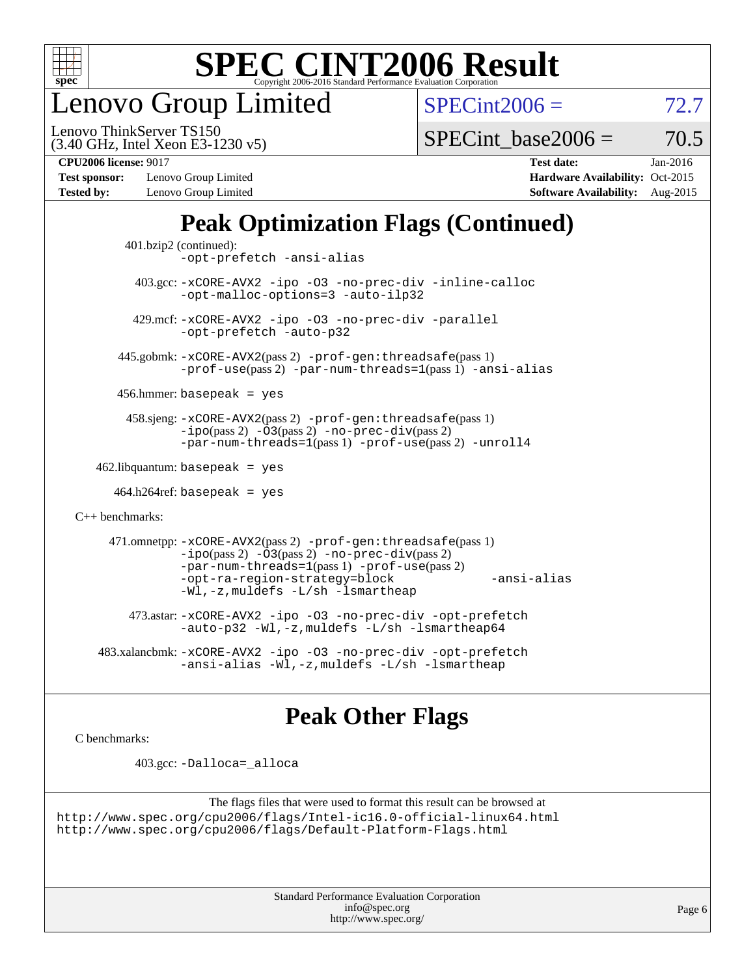

enovo Group Limited

 $SPECint2006 = 72.7$  $SPECint2006 = 72.7$ 

(3.40 GHz, Intel Xeon E3-1230 v5) Lenovo ThinkServer TS150

SPECint base2006 =  $70.5$ 

**[Test sponsor:](http://www.spec.org/auto/cpu2006/Docs/result-fields.html#Testsponsor)** Lenovo Group Limited **[Hardware Availability:](http://www.spec.org/auto/cpu2006/Docs/result-fields.html#HardwareAvailability)** Oct-2015 **[Tested by:](http://www.spec.org/auto/cpu2006/Docs/result-fields.html#Testedby)** Lenovo Group Limited **[Software Availability:](http://www.spec.org/auto/cpu2006/Docs/result-fields.html#SoftwareAvailability)** Aug-2015

**[CPU2006 license:](http://www.spec.org/auto/cpu2006/Docs/result-fields.html#CPU2006license)** 9017 **[Test date:](http://www.spec.org/auto/cpu2006/Docs/result-fields.html#Testdate)** Jan-2016

## **[Peak Optimization Flags \(Continued\)](http://www.spec.org/auto/cpu2006/Docs/result-fields.html#PeakOptimizationFlags)**

```
 401.bzip2 (continued):
                -opt-prefetch -ansi-alias
          403.gcc: -xCORE-AVX2 -ipo -O3 -no-prec-div -inline-calloc
                -opt-malloc-options=3 -auto-ilp32
         429.mcf: -xCORE-AVX2 -ipo -O3 -no-prec-div -parallel
                -opt-prefetch -auto-p32
       445.gobmk: -xCORE-AVX2(pass 2) -prof-gen:threadsafe(pass 1)
                -prof-use(pass 2) -par-num-threads=1(pass 1) -ansi-alias
       456.hmmer: basepeak = yes
        458.sjeng: -xCORE-AVX2(pass 2) -prof-gen:threadsafe(pass 1)
                -i\text{po}(pass 2) -\tilde{O}3(pass 2)-no-prec-div(pass 2)
                -par-num-threads=1(pass 1) -prof-use(pass 2) -unroll4
   462.libquantum: basepeak = yes
     464.h264ref: basepeak = yes
C++ benchmarks: 
      471.omnetpp: -xCORE-AVX2(pass 2) -prof-gen:threadsafe(pass 1)
                -i\text{po}(pass 2) -\overline{O}3(pass 2) -no-\overline{prec}\-div(pass 2)-par-num-threads=1(pass 1) -prof-use(pass 2)
                -opt-ra-region-strategy=block -ansi-alias
                -Wl,-z,muldefs -L/sh -lsmartheap
         473.astar: -xCORE-AVX2 -ipo -O3 -no-prec-div -opt-prefetch
                -auto-p32 -Wl,-z,muldefs -L/sh -lsmartheap64
    483.xalancbmk: -xCORE-AVX2 -ipo -O3 -no-prec-div -opt-prefetch
                -ansi-alias -Wl,-z,muldefs -L/sh -lsmartheap
```
## **[Peak Other Flags](http://www.spec.org/auto/cpu2006/Docs/result-fields.html#PeakOtherFlags)**

[C benchmarks](http://www.spec.org/auto/cpu2006/Docs/result-fields.html#Cbenchmarks):

403.gcc: [-Dalloca=\\_alloca](http://www.spec.org/cpu2006/results/res2016q1/cpu2006-20160125-38853.flags.html#b403.gcc_peakEXTRA_CFLAGS_Dalloca_be3056838c12de2578596ca5467af7f3)

```
The flags files that were used to format this result can be browsed at
http://www.spec.org/cpu2006/flags/Intel-ic16.0-official-linux64.html
http://www.spec.org/cpu2006/flags/Default-Platform-Flags.html
```